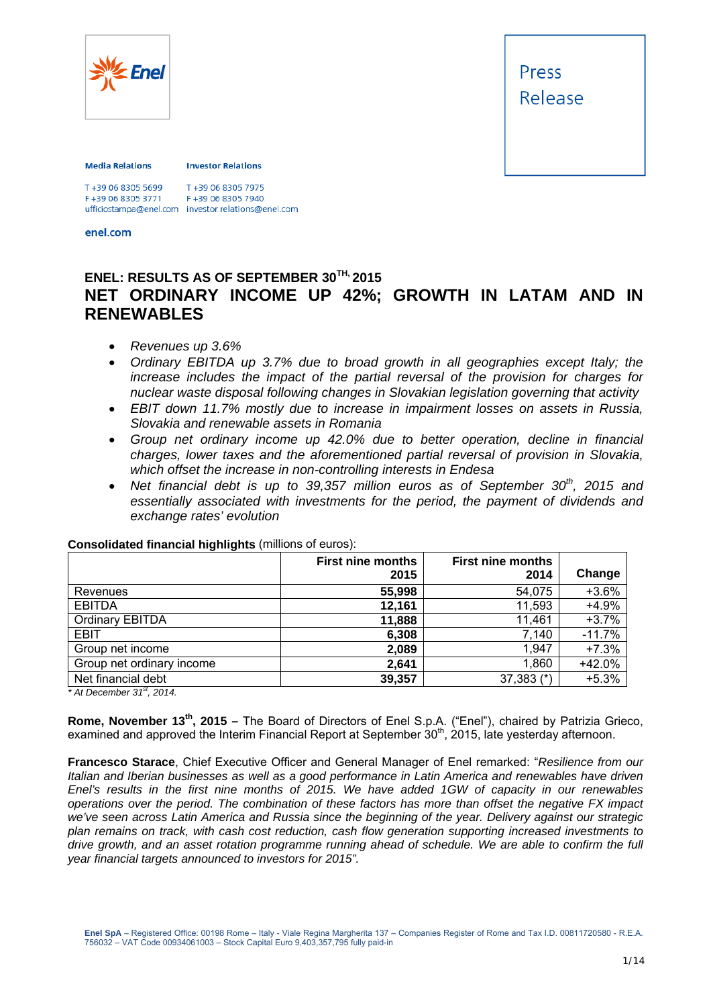

Press Release

#### **Media Relations**

**Investor Relations** 

T+39 06 8305 7975 F+39 06 8305 3771 F+39 06 8305 7940 ufficiostampa@enel.com investor.relations@enel.com<br>enel.com

## **ENEL: RESULTS AS OF SEPTEMBER 30TH, 2015 NET ORDINARY INCOME UP 42%; GROWTH IN LATAM AND IN RENEWABLES**

- *Revenues up 3.6%*
- *Ordinary EBITDA up 3.7% due to broad growth in all geographies except Italy; the increase includes the impact of the partial reversal of the provision for charges for nuclear waste disposal following changes in Slovakian legislation governing that activity*
- *EBIT down 11.7% mostly due to increase in impairment losses on assets in Russia, Slovakia and renewable assets in Romania*
- *Group net ordinary income up 42.0% due to better operation, decline in financial charges, lower taxes and the aforementioned partial reversal of provision in Slovakia, which offset the increase in non-controlling interests in Endesa*
- *Net financial debt is up to 39,357 million euros as of September 30th, 2015 and essentially associated with investments for the period, the payment of dividends and exchange rates' evolution*

|                           | <b>First nine months</b><br>2015 | <b>First nine months</b><br>2014 | Change   |
|---------------------------|----------------------------------|----------------------------------|----------|
| Revenues                  | 55,998                           | 54,075                           | $+3.6%$  |
| <b>EBITDA</b>             | 12,161                           | 11,593                           | $+4.9%$  |
| <b>Ordinary EBITDA</b>    | 11,888                           | 11,461                           | $+3.7%$  |
| <b>EBIT</b>               | 6,308                            | 7,140                            | $-11.7%$ |
| Group net income          | 2,089                            | 1,947                            | $+7.3%$  |
| Group net ordinary income | 2,641                            | 1,860                            | $+42.0%$ |
| Net financial debt        | 39,357                           | $37,383$ (*)                     | $+5.3%$  |

#### **Consolidated financial highlights** (millions of euros):

*\* At December 31st, 2014.* 

**Rome, November 13th, 2015 –** The Board of Directors of Enel S.p.A. ("Enel"), chaired by Patrizia Grieco, examined and approved the Interim Financial Report at September  $30<sup>th</sup>$ , 2015, late yesterday afternoon.

**Francesco Starace**, Chief Executive Officer and General Manager of Enel remarked: "*Resilience from our Italian and Iberian businesses as well as a good performance in Latin America and renewables have driven Enel's results in the first nine months of 2015. We have added 1GW of capacity in our renewables operations over the period. The combination of these factors has more than offset the negative FX impact we've seen across Latin America and Russia since the beginning of the year. Delivery against our strategic plan remains on track, with cash cost reduction, cash flow generation supporting increased investments to drive growth, and an asset rotation programme running ahead of schedule. We are able to confirm the full year financial targets announced to investors for 2015".*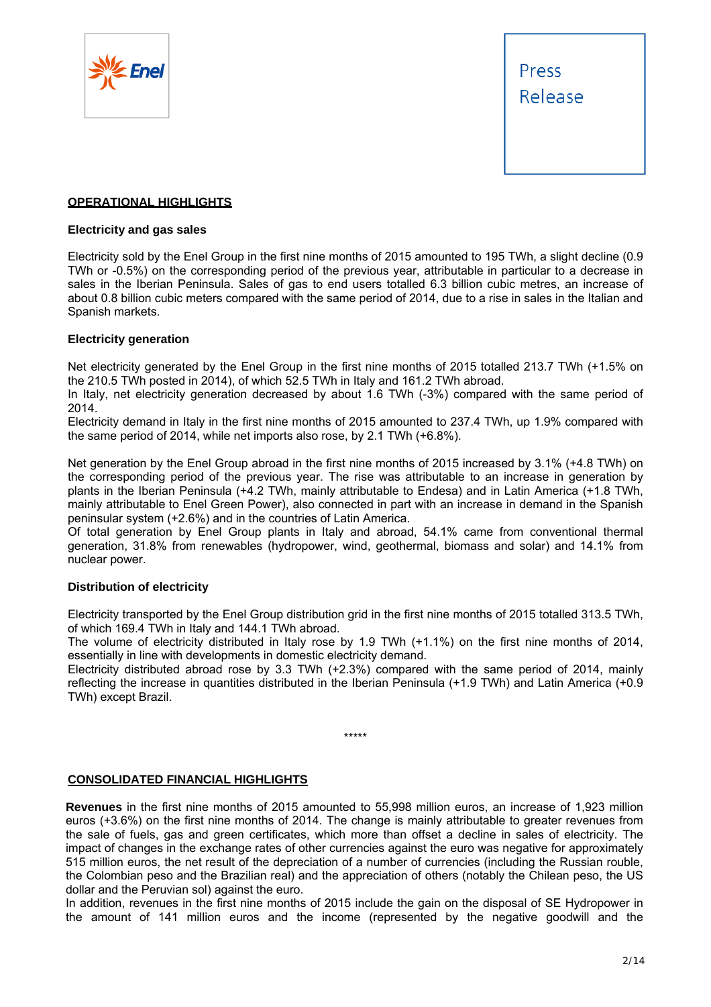



#### **OPERATIONAL HIGHLIGHTS**

#### **Electricity and gas sales**

Electricity sold by the Enel Group in the first nine months of 2015 amounted to 195 TWh, a slight decline (0.9 TWh or -0.5%) on the corresponding period of the previous year, attributable in particular to a decrease in sales in the Iberian Peninsula. Sales of gas to end users totalled 6.3 billion cubic metres, an increase of about 0.8 billion cubic meters compared with the same period of 2014, due to a rise in sales in the Italian and Spanish markets.

#### **Electricity generation**

Net electricity generated by the Enel Group in the first nine months of 2015 totalled 213.7 TWh (+1.5% on the 210.5 TWh posted in 2014), of which 52.5 TWh in Italy and 161.2 TWh abroad.

In Italy, net electricity generation decreased by about 1.6 TWh (-3%) compared with the same period of 2014.

Electricity demand in Italy in the first nine months of 2015 amounted to 237.4 TWh, up 1.9% compared with the same period of 2014, while net imports also rose, by 2.1 TWh (+6.8%).

Net generation by the Enel Group abroad in the first nine months of 2015 increased by 3.1% (+4.8 TWh) on the corresponding period of the previous year. The rise was attributable to an increase in generation by plants in the Iberian Peninsula (+4.2 TWh, mainly attributable to Endesa) and in Latin America (+1.8 TWh, mainly attributable to Enel Green Power), also connected in part with an increase in demand in the Spanish peninsular system (+2.6%) and in the countries of Latin America.

Of total generation by Enel Group plants in Italy and abroad, 54.1% came from conventional thermal generation, 31.8% from renewables (hydropower, wind, geothermal, biomass and solar) and 14.1% from nuclear power.

#### **Distribution of electricity**

Electricity transported by the Enel Group distribution grid in the first nine months of 2015 totalled 313.5 TWh, of which 169.4 TWh in Italy and 144.1 TWh abroad.

The volume of electricity distributed in Italy rose by 1.9 TWh (+1.1%) on the first nine months of 2014, essentially in line with developments in domestic electricity demand.

Electricity distributed abroad rose by 3.3 TWh (+2.3%) compared with the same period of 2014, mainly reflecting the increase in quantities distributed in the Iberian Peninsula (+1.9 TWh) and Latin America (+0.9 TWh) except Brazil.

\*\*\*\*\*

#### **CONSOLIDATED FINANCIAL HIGHLIGHTS**

**Revenues** in the first nine months of 2015 amounted to 55,998 million euros, an increase of 1,923 million euros (+3.6%) on the first nine months of 2014. The change is mainly attributable to greater revenues from the sale of fuels, gas and green certificates, which more than offset a decline in sales of electricity. The impact of changes in the exchange rates of other currencies against the euro was negative for approximately 515 million euros, the net result of the depreciation of a number of currencies (including the Russian rouble, the Colombian peso and the Brazilian real) and the appreciation of others (notably the Chilean peso, the US dollar and the Peruvian sol) against the euro.

In addition, revenues in the first nine months of 2015 include the gain on the disposal of SE Hydropower in the amount of 141 million euros and the income (represented by the negative goodwill and the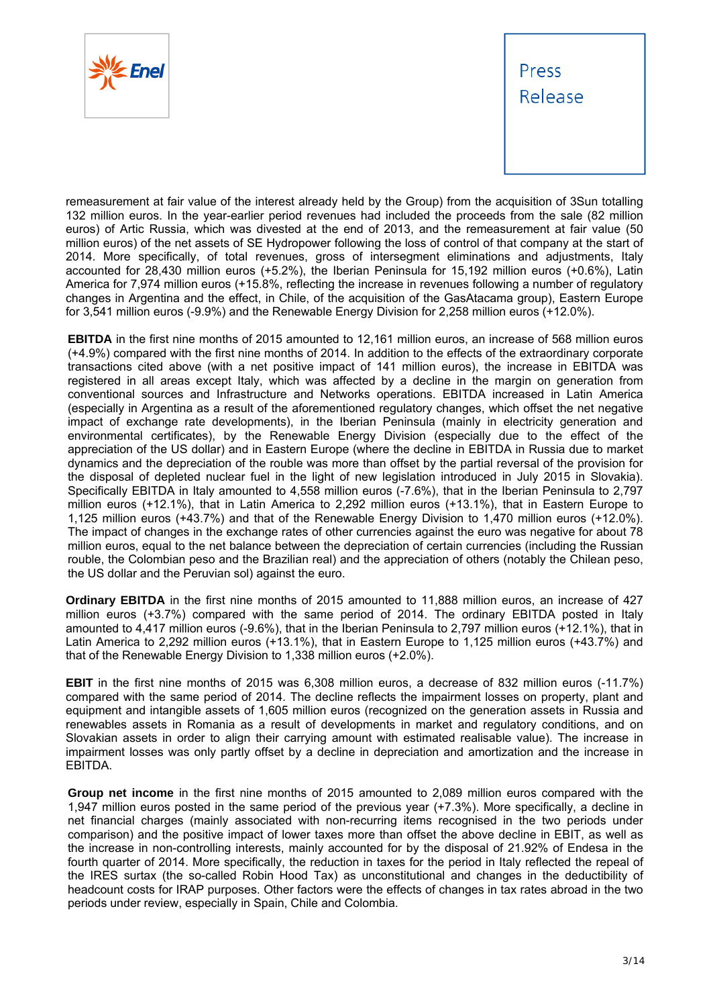



remeasurement at fair value of the interest already held by the Group) from the acquisition of 3Sun totalling 132 million euros. In the year-earlier period revenues had included the proceeds from the sale (82 million euros) of Artic Russia, which was divested at the end of 2013, and the remeasurement at fair value (50 million euros) of the net assets of SE Hydropower following the loss of control of that company at the start of 2014. More specifically, of total revenues, gross of intersegment eliminations and adjustments, Italy accounted for 28,430 million euros (+5.2%), the Iberian Peninsula for 15,192 million euros (+0.6%), Latin America for 7,974 million euros (+15.8%, reflecting the increase in revenues following a number of regulatory changes in Argentina and the effect, in Chile, of the acquisition of the GasAtacama group), Eastern Europe for 3,541 million euros (-9.9%) and the Renewable Energy Division for 2,258 million euros (+12.0%).

**EBITDA** in the first nine months of 2015 amounted to 12,161 million euros, an increase of 568 million euros (+4.9%) compared with the first nine months of 2014. In addition to the effects of the extraordinary corporate transactions cited above (with a net positive impact of 141 million euros), the increase in EBITDA was registered in all areas except Italy, which was affected by a decline in the margin on generation from conventional sources and Infrastructure and Networks operations. EBITDA increased in Latin America (especially in Argentina as a result of the aforementioned regulatory changes, which offset the net negative impact of exchange rate developments), in the Iberian Peninsula (mainly in electricity generation and environmental certificates), by the Renewable Energy Division (especially due to the effect of the appreciation of the US dollar) and in Eastern Europe (where the decline in EBITDA in Russia due to market dynamics and the depreciation of the rouble was more than offset by the partial reversal of the provision for the disposal of depleted nuclear fuel in the light of new legislation introduced in July 2015 in Slovakia). Specifically EBITDA in Italy amounted to 4,558 million euros (-7.6%), that in the Iberian Peninsula to 2,797 million euros (+12.1%), that in Latin America to 2,292 million euros (+13.1%), that in Eastern Europe to 1,125 million euros (+43.7%) and that of the Renewable Energy Division to 1,470 million euros (+12.0%). The impact of changes in the exchange rates of other currencies against the euro was negative for about 78 million euros, equal to the net balance between the depreciation of certain currencies (including the Russian rouble, the Colombian peso and the Brazilian real) and the appreciation of others (notably the Chilean peso, the US dollar and the Peruvian sol) against the euro.

**Ordinary EBITDA** in the first nine months of 2015 amounted to 11,888 million euros, an increase of 427 million euros (+3.7%) compared with the same period of 2014. The ordinary EBITDA posted in Italy amounted to 4,417 million euros (-9.6%), that in the Iberian Peninsula to 2,797 million euros (+12.1%), that in Latin America to 2,292 million euros (+13.1%), that in Eastern Europe to 1,125 million euros (+43.7%) and that of the Renewable Energy Division to 1,338 million euros (+2.0%).

**EBIT** in the first nine months of 2015 was 6,308 million euros, a decrease of 832 million euros (-11.7%) compared with the same period of 2014. The decline reflects the impairment losses on property, plant and equipment and intangible assets of 1,605 million euros (recognized on the generation assets in Russia and renewables assets in Romania as a result of developments in market and regulatory conditions, and on Slovakian assets in order to align their carrying amount with estimated realisable value). The increase in impairment losses was only partly offset by a decline in depreciation and amortization and the increase in EBITDA.

**Group net income** in the first nine months of 2015 amounted to 2,089 million euros compared with the 1,947 million euros posted in the same period of the previous year (+7.3%). More specifically, a decline in net financial charges (mainly associated with non-recurring items recognised in the two periods under comparison) and the positive impact of lower taxes more than offset the above decline in EBIT, as well as the increase in non-controlling interests, mainly accounted for by the disposal of 21.92% of Endesa in the fourth quarter of 2014. More specifically, the reduction in taxes for the period in Italy reflected the repeal of the IRES surtax (the so-called Robin Hood Tax) as unconstitutional and changes in the deductibility of headcount costs for IRAP purposes. Other factors were the effects of changes in tax rates abroad in the two periods under review, especially in Spain, Chile and Colombia.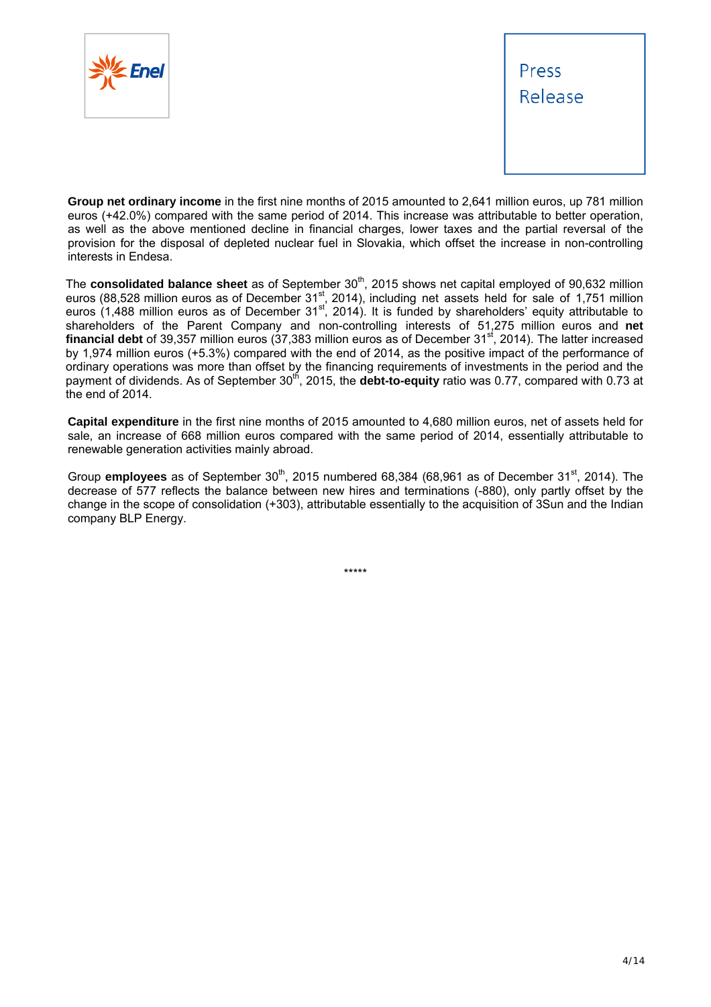



**Group net ordinary income** in the first nine months of 2015 amounted to 2,641 million euros, up 781 million euros (+42.0%) compared with the same period of 2014. This increase was attributable to better operation, as well as the above mentioned decline in financial charges, lower taxes and the partial reversal of the provision for the disposal of depleted nuclear fuel in Slovakia, which offset the increase in non-controlling interests in Endesa.

The **consolidated balance sheet** as of September 30<sup>th</sup>, 2015 shows net capital employed of 90,632 million euros (88,528 million euros as of December 31st, 2014), including net assets held for sale of 1,751 million euros (1,488 million euros as of December 31st, 2014). It is funded by shareholders' equity attributable to shareholders of the Parent Company and non-controlling interests of 51,275 million euros and **net**  financial debt of 39,357 million euros (37,383 million euros as of December 31<sup>st</sup>, 2014). The latter increased by 1,974 million euros (+5.3%) compared with the end of 2014, as the positive impact of the performance of ordinary operations was more than offset by the financing requirements of investments in the period and the payment of dividends. As of September 30<sup>th</sup>, 2015, the **debt-to-equity** ratio was 0.77, compared with 0.73 at the end of 2014.

**Capital expenditure** in the first nine months of 2015 amounted to 4,680 million euros, net of assets held for sale, an increase of 668 million euros compared with the same period of 2014, essentially attributable to renewable generation activities mainly abroad.

Group **employees** as of September 30<sup>th</sup>, 2015 numbered 68,384 (68,961 as of December 31<sup>st</sup>, 2014). The decrease of 577 reflects the balance between new hires and terminations (-880), only partly offset by the change in the scope of consolidation (+303), attributable essentially to the acquisition of 3Sun and the Indian company BLP Energy.

\*\*\*\*\*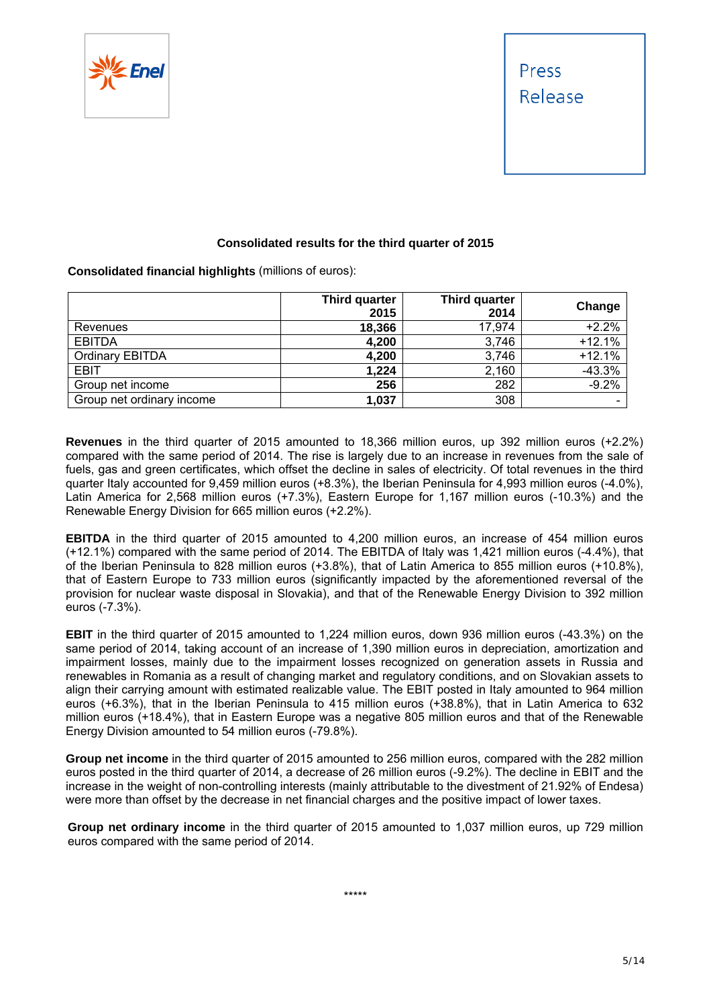



#### **Consolidated results for the third quarter of 2015**

**Consolidated financial highlights** (millions of euros):

|                           | Third quarter<br>2015 | Third quarter<br>2014 | Change                       |
|---------------------------|-----------------------|-----------------------|------------------------------|
| Revenues                  | 18,366                | 17,974                | $+2.2%$                      |
| <b>EBITDA</b>             | 4,200                 | 3,746                 | $+12.1%$                     |
| <b>Ordinary EBITDA</b>    | 4,200                 | 3,746                 | $+12.1%$                     |
| <b>EBIT</b>               | 1,224                 | 2,160                 | $-43.3%$                     |
| Group net income          | 256                   | 282                   | $-9.2%$                      |
| Group net ordinary income | 1,037                 | 308                   | $\qquad \qquad \blacksquare$ |

**Revenues** in the third quarter of 2015 amounted to 18,366 million euros, up 392 million euros (+2.2%) compared with the same period of 2014. The rise is largely due to an increase in revenues from the sale of fuels, gas and green certificates, which offset the decline in sales of electricity. Of total revenues in the third quarter Italy accounted for 9,459 million euros (+8.3%), the Iberian Peninsula for 4,993 million euros (-4.0%), Latin America for 2,568 million euros (+7.3%), Eastern Europe for 1,167 million euros (-10.3%) and the Renewable Energy Division for 665 million euros (+2.2%).

**EBITDA** in the third quarter of 2015 amounted to 4,200 million euros, an increase of 454 million euros (+12.1%) compared with the same period of 2014. The EBITDA of Italy was 1,421 million euros (-4.4%), that of the Iberian Peninsula to 828 million euros (+3.8%), that of Latin America to 855 million euros (+10.8%), that of Eastern Europe to 733 million euros (significantly impacted by the aforementioned reversal of the provision for nuclear waste disposal in Slovakia), and that of the Renewable Energy Division to 392 million euros (-7.3%).

**EBIT** in the third quarter of 2015 amounted to 1,224 million euros, down 936 million euros (-43.3%) on the same period of 2014, taking account of an increase of 1,390 million euros in depreciation, amortization and impairment losses, mainly due to the impairment losses recognized on generation assets in Russia and renewables in Romania as a result of changing market and regulatory conditions, and on Slovakian assets to align their carrying amount with estimated realizable value. The EBIT posted in Italy amounted to 964 million euros (+6.3%), that in the Iberian Peninsula to 415 million euros (+38.8%), that in Latin America to 632 million euros (+18.4%), that in Eastern Europe was a negative 805 million euros and that of the Renewable Energy Division amounted to 54 million euros (-79.8%).

**Group net income** in the third quarter of 2015 amounted to 256 million euros, compared with the 282 million euros posted in the third quarter of 2014, a decrease of 26 million euros (-9.2%). The decline in EBIT and the increase in the weight of non-controlling interests (mainly attributable to the divestment of 21.92% of Endesa) were more than offset by the decrease in net financial charges and the positive impact of lower taxes.

**Group net ordinary income** in the third quarter of 2015 amounted to 1,037 million euros, up 729 million euros compared with the same period of 2014.

\*\*\*\*\*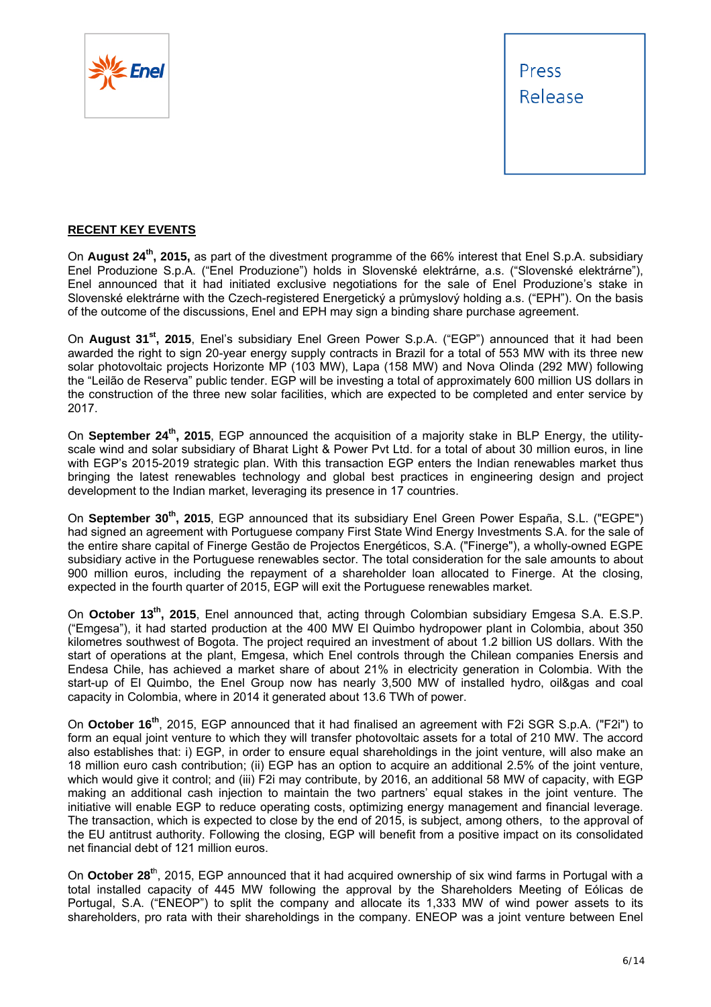



#### **RECENT KEY EVENTS**

On **August 24th, 2015,** as part of the divestment programme of the 66% interest that Enel S.p.A. subsidiary Enel Produzione S.p.A. ("Enel Produzione") holds in Slovenské elektrárne, a.s. ("Slovenské elektrárne"), Enel announced that it had initiated exclusive negotiations for the sale of Enel Produzione's stake in Slovenské elektrárne with the Czech-registered Energetický a průmyslový holding a.s. ("EPH"). On the basis of the outcome of the discussions, Enel and EPH may sign a binding share purchase agreement.

On **August 31st, 2015**, Enel's subsidiary Enel Green Power S.p.A. ("EGP") announced that it had been awarded the right to sign 20-year energy supply contracts in Brazil for a total of 553 MW with its three new solar photovoltaic projects Horizonte MP (103 MW), Lapa (158 MW) and Nova Olinda (292 MW) following the "Leilão de Reserva" public tender. EGP will be investing a total of approximately 600 million US dollars in the construction of the three new solar facilities, which are expected to be completed and enter service by 2017.

On **September 24th, 2015**, EGP announced the acquisition of a majority stake in BLP Energy, the utilityscale wind and solar subsidiary of Bharat Light & Power Pvt Ltd. for a total of about 30 million euros, in line with EGP's 2015-2019 strategic plan. With this transaction EGP enters the Indian renewables market thus bringing the latest renewables technology and global best practices in engineering design and project development to the Indian market, leveraging its presence in 17 countries.

On **September 30th, 2015**, EGP announced that its subsidiary Enel Green Power España, S.L. ("EGPE") had signed an agreement with Portuguese company First State Wind Energy Investments S.A. for the sale of the entire share capital of Finerge Gestão de Projectos Energéticos, S.A. ("Finerge"), a wholly-owned EGPE subsidiary active in the Portuguese renewables sector. The total consideration for the sale amounts to about 900 million euros, including the repayment of a shareholder loan allocated to Finerge. At the closing, expected in the fourth quarter of 2015, EGP will exit the Portuguese renewables market.

On **October 13th, 2015**, Enel announced that, acting through Colombian subsidiary Emgesa S.A. E.S.P. ("Emgesa"), it had started production at the 400 MW El Quimbo hydropower plant in Colombia, about 350 kilometres southwest of Bogota. The project required an investment of about 1.2 billion US dollars. With the start of operations at the plant, Emgesa, which Enel controls through the Chilean companies Enersis and Endesa Chile, has achieved a market share of about 21% in electricity generation in Colombia. With the start-up of El Quimbo, the Enel Group now has nearly 3,500 MW of installed hydro, oil&gas and coal capacity in Colombia, where in 2014 it generated about 13.6 TWh of power.

On **October 16th**, 2015, EGP announced that it had finalised an agreement with F2i SGR S.p.A. ("F2i") to form an equal joint venture to which they will transfer photovoltaic assets for a total of 210 MW. The accord also establishes that: i) EGP, in order to ensure equal shareholdings in the joint venture, will also make an 18 million euro cash contribution; (ii) EGP has an option to acquire an additional 2.5% of the joint venture, which would give it control; and (iii) F2i may contribute, by 2016, an additional 58 MW of capacity, with EGP making an additional cash injection to maintain the two partners' equal stakes in the joint venture. The initiative will enable EGP to reduce operating costs, optimizing energy management and financial leverage. The transaction, which is expected to close by the end of 2015, is subject, among others, to the approval of the EU antitrust authority. Following the closing, EGP will benefit from a positive impact on its consolidated net financial debt of 121 million euros.

On **October 28<sup>t</sup>**<sup>h</sup> , 2015, EGP announced that it had acquired ownership of six wind farms in Portugal with a total installed capacity of 445 MW following the approval by the Shareholders Meeting of Eólicas de Portugal, S.A. ("ENEOP") to split the company and allocate its 1,333 MW of wind power assets to its shareholders, pro rata with their shareholdings in the company. ENEOP was a joint venture between Enel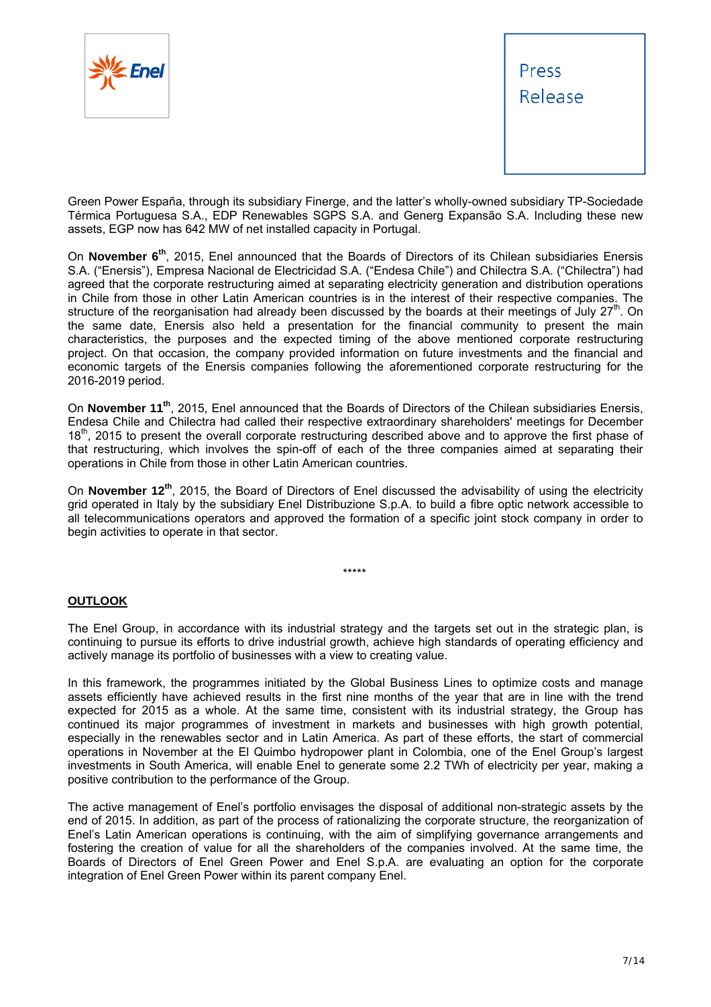



Green Power España, through its subsidiary Finerge, and the latter's wholly-owned subsidiary TP-Sociedade Térmica Portuguesa S.A., EDP Renewables SGPS S.A. and Generg Expansão S.A. Including these new assets, EGP now has 642 MW of net installed capacity in Portugal.

On **November 6th**, 2015, Enel announced that the Boards of Directors of its Chilean subsidiaries Enersis S.A. ("Enersis"), Empresa Nacional de Electricidad S.A. ("Endesa Chile") and Chilectra S.A. ("Chilectra") had agreed that the corporate restructuring aimed at separating electricity generation and distribution operations in Chile from those in other Latin American countries is in the interest of their respective companies. The structure of the reorganisation had already been discussed by the boards at their meetings of July  $27<sup>th</sup>$ . On the same date, Enersis also held a presentation for the financial community to present the main characteristics, the purposes and the expected timing of the above mentioned corporate restructuring project. On that occasion, the company provided information on future investments and the financial and economic targets of the Enersis companies following the aforementioned corporate restructuring for the 2016-2019 period.

On **November 11th**, 2015, Enel announced that the Boards of Directors of the Chilean subsidiaries Enersis, Endesa Chile and Chilectra had called their respective extraordinary shareholders' meetings for December 18<sup>th</sup>, 2015 to present the overall corporate restructuring described above and to approve the first phase of that restructuring, which involves the spin-off of each of the three companies aimed at separating their operations in Chile from those in other Latin American countries.

On **November 12th**, 2015, the Board of Directors of Enel discussed the advisability of using the electricity grid operated in Italy by the subsidiary Enel Distribuzione S.p.A. to build a fibre optic network accessible to all telecommunications operators and approved the formation of a specific joint stock company in order to begin activities to operate in that sector.

#### \*\*\*\*\*

#### **OUTLOOK**

The Enel Group, in accordance with its industrial strategy and the targets set out in the strategic plan, is continuing to pursue its efforts to drive industrial growth, achieve high standards of operating efficiency and actively manage its portfolio of businesses with a view to creating value.

In this framework, the programmes initiated by the Global Business Lines to optimize costs and manage assets efficiently have achieved results in the first nine months of the year that are in line with the trend expected for 2015 as a whole. At the same time, consistent with its industrial strategy, the Group has continued its major programmes of investment in markets and businesses with high growth potential, especially in the renewables sector and in Latin America. As part of these efforts, the start of commercial operations in November at the El Quimbo hydropower plant in Colombia, one of the Enel Group's largest investments in South America, will enable Enel to generate some 2.2 TWh of electricity per year, making a positive contribution to the performance of the Group.

The active management of Enel's portfolio envisages the disposal of additional non-strategic assets by the end of 2015. In addition, as part of the process of rationalizing the corporate structure, the reorganization of Enel's Latin American operations is continuing, with the aim of simplifying governance arrangements and fostering the creation of value for all the shareholders of the companies involved. At the same time, the Boards of Directors of Enel Green Power and Enel S.p.A. are evaluating an option for the corporate integration of Enel Green Power within its parent company Enel.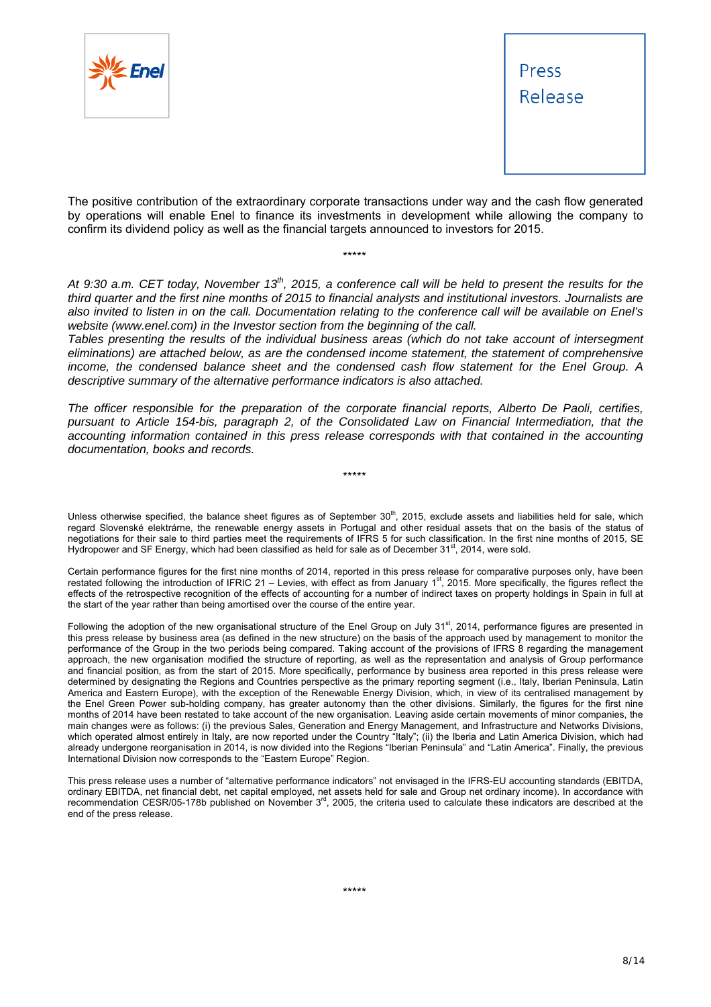



The positive contribution of the extraordinary corporate transactions under way and the cash flow generated by operations will enable Enel to finance its investments in development while allowing the company to confirm its dividend policy as well as the financial targets announced to investors for 2015.

\*\*\*\*\*

At 9:30 a.m. CET today, November 13<sup>th</sup>, 2015, a conference call will be held to present the results for the *third quarter and the first nine months of 2015 to financial analysts and institutional investors. Journalists are also invited to listen in on the call. Documentation relating to the conference call will be available on Enel's website (www.enel.com) in the Investor section from the beginning of the call.* 

*Tables presenting the results of the individual business areas (which do not take account of intersegment eliminations) are attached below, as are the condensed income statement, the statement of comprehensive income, the condensed balance sheet and the condensed cash flow statement for the Enel Group. A descriptive summary of the alternative performance indicators is also attached.* 

*The officer responsible for the preparation of the corporate financial reports, Alberto De Paoli, certifies, pursuant to Article 154-bis, paragraph 2, of the Consolidated Law on Financial Intermediation, that the accounting information contained in this press release corresponds with that contained in the accounting documentation, books and records.* 

\*\*\*\*\*

Unless otherwise specified, the balance sheet figures as of September  $30<sup>th</sup>$ , 2015, exclude assets and liabilities held for sale, which regard Slovenské elektrárne, the renewable energy assets in Portugal and other residual assets that on the basis of the status of negotiations for their sale to third parties meet the requirements of IFRS 5 for such classification. In the first nine months of 2015, SE Hydropower and SF Energy, which had been classified as held for sale as of December  $31<sup>st</sup>$ , 2014, were sold.

Certain performance figures for the first nine months of 2014, reported in this press release for comparative purposes only, have been restated following the introduction of IFRIC 21 – Levies, with effect as from January 1<sup>st</sup>, 2015. More specifically, the figures reflect the effects of the retrospective recognition of the effects of accounting for a number of indirect taxes on property holdings in Spain in full at the start of the year rather than being amortised over the course of the entire year.

Following the adoption of the new organisational structure of the Enel Group on July 31<sup>st</sup>, 2014, performance figures are presented in this press release by business area (as defined in the new structure) on the basis of the approach used by management to monitor the performance of the Group in the two periods being compared. Taking account of the provisions of IFRS 8 regarding the management approach, the new organisation modified the structure of reporting, as well as the representation and analysis of Group performance and financial position, as from the start of 2015. More specifically, performance by business area reported in this press release were determined by designating the Regions and Countries perspective as the primary reporting segment (i.e., Italy, Iberian Peninsula, Latin America and Eastern Europe), with the exception of the Renewable Energy Division, which, in view of its centralised management by the Enel Green Power sub-holding company, has greater autonomy than the other divisions. Similarly, the figures for the first nine months of 2014 have been restated to take account of the new organisation. Leaving aside certain movements of minor companies, the main changes were as follows: (i) the previous Sales, Generation and Energy Management, and Infrastructure and Networks Divisions, which operated almost entirely in Italy, are now reported under the Country "Italy"; (ii) the Iberia and Latin America Division, which had already undergone reorganisation in 2014, is now divided into the Regions "Iberian Peninsula" and "Latin America". Finally, the previous International Division now corresponds to the "Eastern Europe" Region.

This press release uses a number of "alternative performance indicators" not envisaged in the IFRS-EU accounting standards (EBITDA, ordinary EBITDA, net financial debt, net capital employed, net assets held for sale and Group net ordinary income). In accordance with recommendation CESR/05-178b published on November  $3<sup>rd</sup>$ , 2005, the criteria used to calculate these indicators are described at the end of the press release.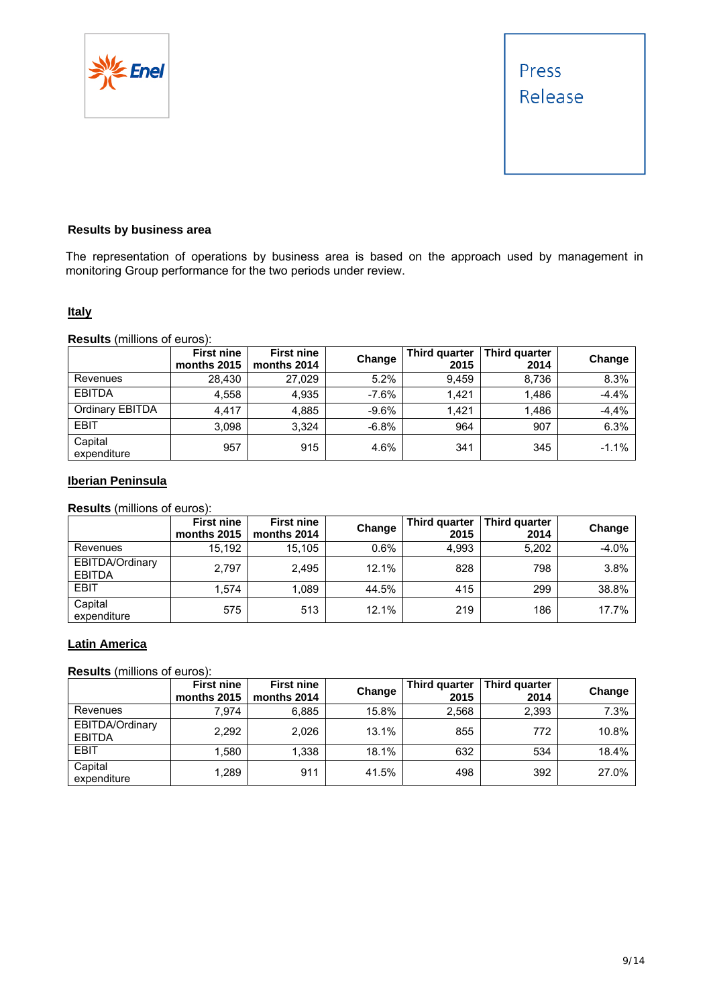



#### **Results by business area**

The representation of operations by business area is based on the approach used by management in monitoring Group performance for the two periods under review.

#### **Italy**

**Results** (millions of euros):

|                        | <b>First nine</b><br>months 2015 | <b>First nine</b><br>months 2014 | Change  | Third quarter<br>2015 | Third quarter<br>2014 | Change  |
|------------------------|----------------------------------|----------------------------------|---------|-----------------------|-----------------------|---------|
| Revenues               | 28.430                           | 27.029                           | 5.2%    | 9.459                 | 8.736                 | 8.3%    |
| <b>EBITDA</b>          | 4,558                            | 4.935                            | $-7.6%$ | 1.421                 | 1.486                 | $-4.4%$ |
| Ordinary EBITDA        | 4.417                            | 4.885                            | $-9.6%$ | 1.421                 | 1.486                 | $-4,4%$ |
| <b>EBIT</b>            | 3.098                            | 3.324                            | $-6.8%$ | 964                   | 907                   | 6.3%    |
| Capital<br>expenditure | 957                              | 915                              | 4.6%    | 341                   | 345                   | $-1.1%$ |

#### **Iberian Peninsula**

**Results** (millions of euros):

|                                  | <b>First nine</b><br>months 2015 | <b>First nine</b><br>months 2014 | Change  | Third quarter<br>2015 | Third quarter<br>2014 | Change  |
|----------------------------------|----------------------------------|----------------------------------|---------|-----------------------|-----------------------|---------|
| Revenues                         | 15.192                           | 15.105                           | $0.6\%$ | 4.993                 | 5,202                 | $-4.0%$ |
| EBITDA/Ordinary<br><b>EBITDA</b> | 2.797                            | 2.495                            | 12.1%   | 828                   | 798                   | 3.8%    |
| EBIT                             | 1.574                            | 1.089                            | 44.5%   | 415                   | 299                   | 38.8%   |
| Capital<br>expenditure           | 575                              | 513                              | 12.1%   | 219                   | 186                   | 17.7%   |

#### **Latin America**

**Results** (millions of euros):

|                                  | <b>First nine</b><br>months 2015 | <b>First nine</b><br>months 2014 | Change | Third quarter<br>2015 | Third quarter<br>2014 | Change |
|----------------------------------|----------------------------------|----------------------------------|--------|-----------------------|-----------------------|--------|
| Revenues                         | 7.974                            | 6.885                            | 15.8%  | 2.568                 | 2,393                 | 7.3%   |
| EBITDA/Ordinary<br><b>EBITDA</b> | 2,292                            | 2.026                            | 13.1%  | 855                   | 772                   | 10.8%  |
| EBIT                             | .580                             | 1.338                            | 18.1%  | 632                   | 534                   | 18.4%  |
| Capital<br>expenditure           | 1,289                            | 911                              | 41.5%  | 498                   | 392                   | 27.0%  |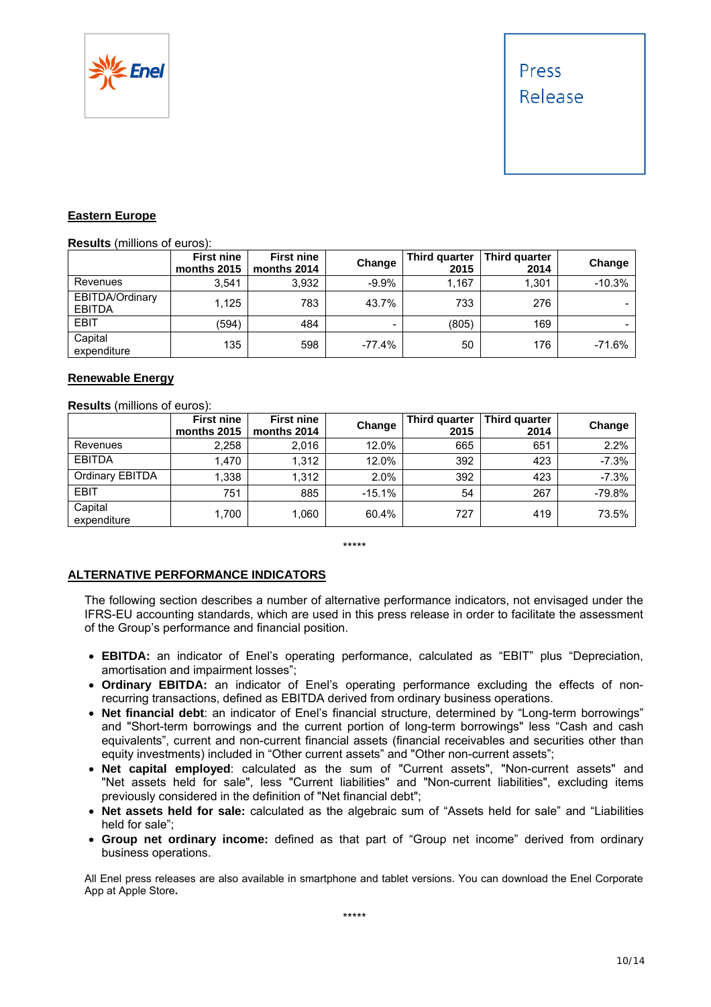

#### **Eastern Europe**

**Results** (millions of euros):

|                                  | <b>First nine</b><br>months 2015 | <b>First nine</b><br>months 2014 | Change   | Third quarter<br>2015 | Third quarter<br>2014 | Change   |
|----------------------------------|----------------------------------|----------------------------------|----------|-----------------------|-----------------------|----------|
| Revenues                         | 3.541                            | 3.932                            | $-9.9%$  | l.167                 | 1,301                 | $-10.3%$ |
| EBITDA/Ordinary<br><b>EBITDA</b> | 1.125                            | 783                              | 43.7%    | 733                   | 276                   | -        |
| <b>EBIT</b>                      | (594)                            | 484                              | -        | (805)                 | 169                   |          |
| Capital<br>expenditure           | 135                              | 598                              | $-77.4%$ | 50                    | 176                   | $-71.6%$ |

#### **Renewable Energy**

**Results** (millions of euros):

|                        | <b>First nine</b><br>months 2015 | <b>First nine</b><br>months 2014 | Change   | Third quarter<br>2015 | Third quarter<br>2014 | Change   |
|------------------------|----------------------------------|----------------------------------|----------|-----------------------|-----------------------|----------|
| Revenues               | 2,258                            | 2.016                            | 12.0%    | 665                   | 651                   | 2.2%     |
| <b>EBITDA</b>          | 1.470                            | 1.312                            | 12.0%    | 392                   | 423                   | $-7.3%$  |
| Ordinary EBITDA        | 1,338                            | 1.312                            | 2.0%     | 392                   | 423                   | $-7.3%$  |
| EBIT                   | 751                              | 885                              | $-15.1%$ | 54                    | 267                   | $-79.8%$ |
| Capital<br>expenditure | 1.700                            | 1,060                            | 60.4%    | 727                   | 419                   | 73.5%    |

\*\*\*\*\*

#### **ALTERNATIVE PERFORMANCE INDICATORS**

The following section describes a number of alternative performance indicators, not envisaged under the IFRS-EU accounting standards, which are used in this press release in order to facilitate the assessment of the Group's performance and financial position.

- **EBITDA:** an indicator of Enel's operating performance, calculated as "EBIT" plus "Depreciation, amortisation and impairment losses";
- **Ordinary EBITDA:** an indicator of Enel's operating performance excluding the effects of nonrecurring transactions, defined as EBITDA derived from ordinary business operations.
- **Net financial debt**: an indicator of Enel's financial structure, determined by "Long-term borrowings" and "Short-term borrowings and the current portion of long-term borrowings" less "Cash and cash equivalents", current and non-current financial assets (financial receivables and securities other than equity investments) included in "Other current assets" and "Other non-current assets";
- **Net capital employed**: calculated as the sum of "Current assets", "Non-current assets" and "Net assets held for sale", less "Current liabilities" and "Non-current liabilities", excluding items previously considered in the definition of "Net financial debt";
- **Net assets held for sale:** calculated as the algebraic sum of "Assets held for sale" and "Liabilities held for sale";
- **Group net ordinary income:** defined as that part of "Group net income" derived from ordinary business operations.

All Enel press releases are also available in smartphone and tablet versions. You can download the Enel Corporate App at Apple Store**.**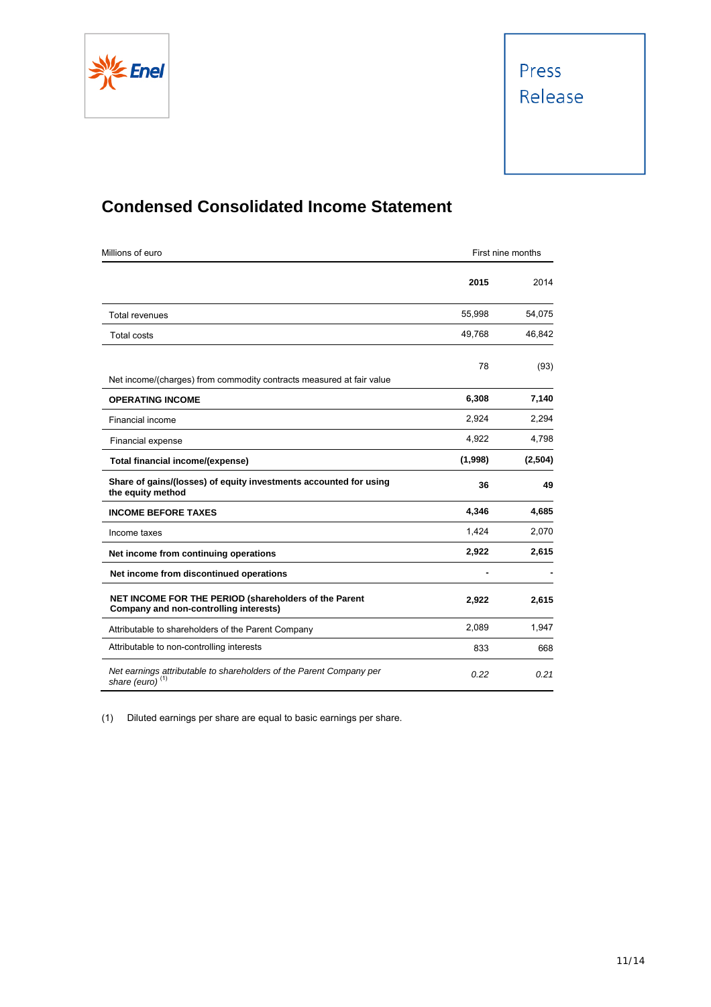

# **Condensed Consolidated Income Statement**

| Millions of euro                                                                                | First nine months |         |
|-------------------------------------------------------------------------------------------------|-------------------|---------|
|                                                                                                 | 2015              | 2014    |
| <b>Total revenues</b>                                                                           | 55,998            | 54,075  |
| <b>Total costs</b>                                                                              | 49,768            | 46,842  |
| Net income/(charges) from commodity contracts measured at fair value                            | 78                | (93)    |
| <b>OPERATING INCOME</b>                                                                         | 6,308             | 7,140   |
| Financial income                                                                                | 2,924             | 2,294   |
| Financial expense                                                                               | 4,922             | 4,798   |
| Total financial income/(expense)                                                                | (1,998)           | (2,504) |
| Share of gains/(losses) of equity investments accounted for using<br>the equity method          | 36                | 49      |
| <b>INCOME BEFORE TAXES</b>                                                                      | 4,346             | 4,685   |
| Income taxes                                                                                    | 1,424             | 2,070   |
| Net income from continuing operations                                                           | 2,922             | 2,615   |
| Net income from discontinued operations                                                         |                   |         |
| NET INCOME FOR THE PERIOD (shareholders of the Parent<br>Company and non-controlling interests) | 2,922             | 2,615   |
| Attributable to shareholders of the Parent Company                                              | 2.089             | 1,947   |
| Attributable to non-controlling interests                                                       | 833               | 668     |
| Net earnings attributable to shareholders of the Parent Company per<br>share (euro) $(1)$       | 0.22              | 0.21    |

(1) Diluted earnings per share are equal to basic earnings per share.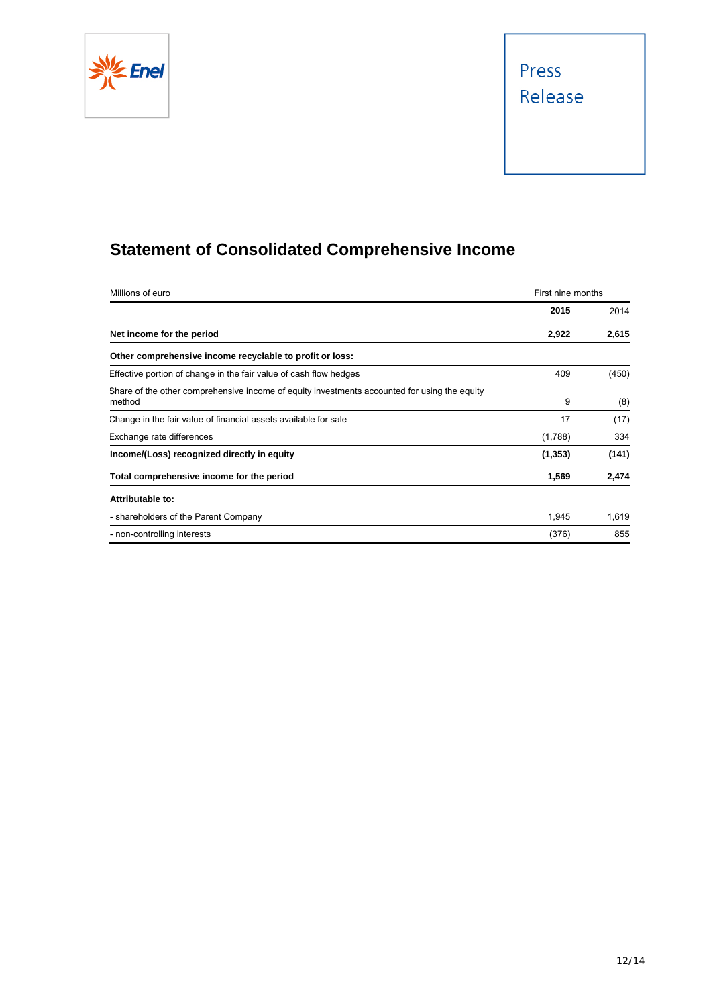

# Press Release

# **Statement of Consolidated Comprehensive Income**

| Millions of euro                                                                                       | First nine months |       |
|--------------------------------------------------------------------------------------------------------|-------------------|-------|
|                                                                                                        | 2015              | 2014  |
| Net income for the period                                                                              | 2,922             | 2,615 |
| Other comprehensive income recyclable to profit or loss:                                               |                   |       |
| Effective portion of change in the fair value of cash flow hedges                                      | 409               | (450) |
| Share of the other comprehensive income of equity investments accounted for using the equity<br>method | 9                 | (8)   |
| Change in the fair value of financial assets available for sale                                        | 17                | (17)  |
| Exchange rate differences                                                                              | (1,788)           | 334   |
| Income/(Loss) recognized directly in equity                                                            | (1, 353)          | (141) |
| Total comprehensive income for the period                                                              | 1,569             | 2,474 |
| Attributable to:                                                                                       |                   |       |
| - shareholders of the Parent Company                                                                   | 1,945             | 1,619 |
| - non-controlling interests                                                                            | (376)             | 855   |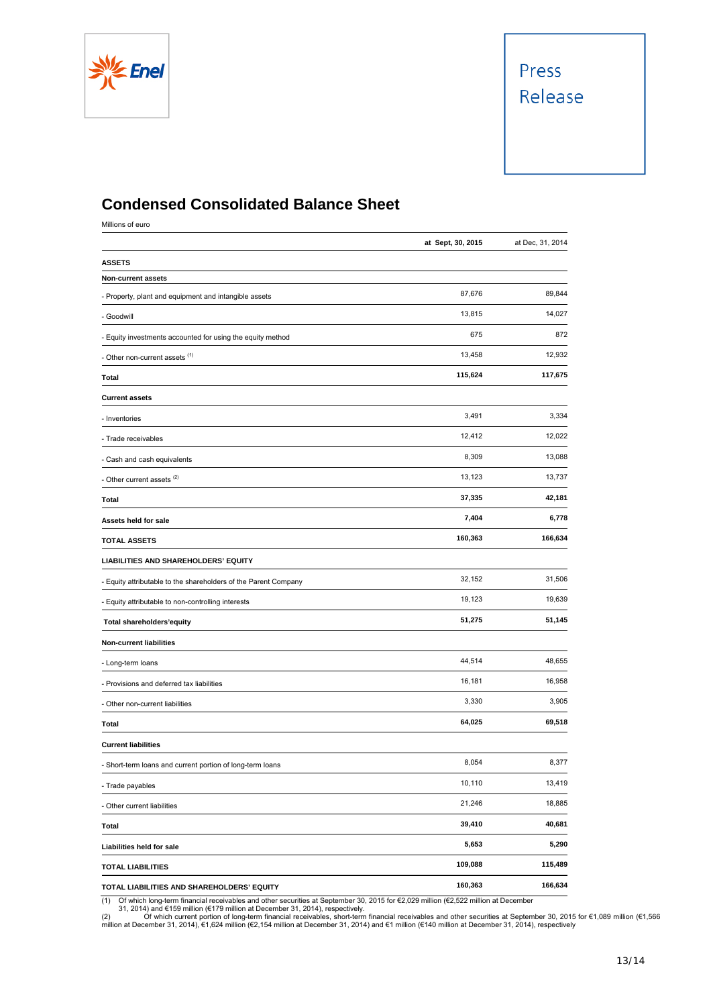

## **Condensed Consolidated Balance Sheet**

Millions of euro

|                                                                 | at Sept, 30, 2015 | at Dec, 31, 2014 |
|-----------------------------------------------------------------|-------------------|------------------|
| <b>ASSETS</b>                                                   |                   |                  |
| Non-current assets                                              |                   |                  |
| - Property, plant and equipment and intangible assets           | 87,676            | 89,844           |
| - Goodwill                                                      | 13,815            | 14,027           |
| - Equity investments accounted for using the equity method      | 675               | 872              |
| Other non-current assets <sup>(1)</sup>                         | 13,458            | 12,932           |
| Total                                                           | 115,624           | 117,675          |
| <b>Current assets</b>                                           |                   |                  |
| - Inventories                                                   | 3,491             | 3,334            |
| - Trade receivables                                             | 12,412            | 12,022           |
| - Cash and cash equivalents                                     | 8,309             | 13,088           |
| - Other current assets <sup>(2)</sup>                           | 13,123            | 13,737           |
| Total                                                           | 37,335            | 42,181           |
| Assets held for sale                                            | 7,404             | 6,778            |
| <b>TOTAL ASSETS</b>                                             | 160,363           | 166,634          |
| LIABILITIES AND SHAREHOLDERS' EQUITY                            |                   |                  |
| - Equity attributable to the shareholders of the Parent Company | 32,152            | 31,506           |
| - Equity attributable to non-controlling interests              | 19,123            | 19,639           |
| Total shareholders'equity                                       | 51,275            | 51,145           |
| <b>Non-current liabilities</b>                                  |                   |                  |
| - Long-term loans                                               | 44,514            | 48,655           |
| - Provisions and deferred tax liabilities                       | 16,181            | 16,958           |
| - Other non-current liabilities                                 | 3,330             | 3,905            |
| Total                                                           | 64,025            | 69,518           |
| <b>Current liabilities</b>                                      |                   |                  |
| - Short-term loans and current portion of long-term loans       | 8,054             | 8,377            |
| - Trade payables                                                | 10,110            | 13,419           |
| - Other current liabilities                                     | 21,246            | 18,885           |
| <b>Total</b>                                                    | 39,410            | 40,681           |
| Liabilities held for sale                                       | 5,653             | 5,290            |
| <b>TOTAL LIABILITIES</b>                                        | 109,088           | 115,489          |
| TOTAL LIABILITIES AND SHAREHOLDERS' EQUITY                      | 160,363           | 166,634          |

(1) Of which long-term financial receivables and other securities at September 30, 2015 for €2,029 million (€2,522 million at December<br>(2) 31, 2014) and €159 million (€179 million at December 31, 2014), respectively.<br>(2)